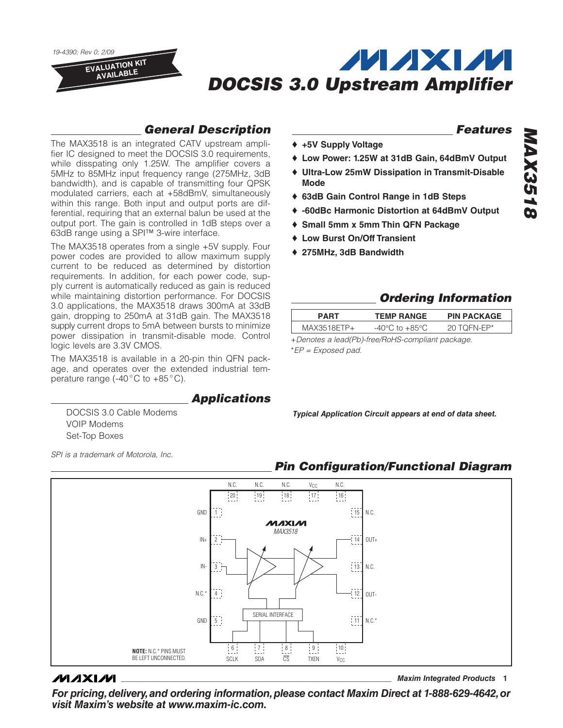*19-4390; Rev 0; 2/09*

EVALUATION KIT AVAILABLE

# **MAXM** *DOCSIS 3.0 Upstream Amplifier*

## *General Description*

The MAX3518 is an integrated CATV upstream amplifier IC designed to meet the DOCSIS 3.0 requirements, while disspating only 1.25W. The amplifier covers a 5MHz to 85MHz input frequency range (275MHz, 3dB bandwidth), and is capable of transmitting four QPSK modulated carriers, each at +58dBmV, simultaneously within this range. Both input and output ports are differential, requiring that an external balun be used at the output port. The gain is controlled in 1dB steps over a 63dB range using a SPI™ 3-wire interface.

The MAX3518 operates from a single +5V supply. Four power codes are provided to allow maximum supply current to be reduced as determined by distortion requirements. In addition, for each power code, supply current is automatically reduced as gain is reduced while maintaining distortion performance. For DOCSIS 3.0 applications, the MAX3518 draws 300mA at 33dB gain, dropping to 250mA at 31dB gain. The MAX3518 supply current drops to 5mA between bursts to minimize power dissipation in transmit-disable mode. Control logic levels are 3.3V CMOS.

The MAX3518 is available in a 20-pin thin QFN package, and operates over the extended industrial temperature range (-40°C to +85°C).

#### *Applications*

DOCSIS 3.0 Cable Modems VOIP Modems Set-Top Boxes

*SPI is a trademark of Motorola, Inc.*

## *Features*

- ♦ **+5V Supply Voltage**
- ♦ **Low Power: 1.25W at 31dB Gain, 64dBmV Output**
- ♦ **Ultra-Low 25mW Dissipation in Transmit-Disable Mode**
- ♦ **63dB Gain Control Range in 1dB Steps**
- ♦ **-60dBc Harmonic Distortion at 64dBmV Output**
- ♦ **Small 5mm x 5mm Thin QFN Package**
- ♦ **Low Burst On/Off Transient**
- ♦ **275MHz, 3dB Bandwidth**

## *Ordering Information*

| <b>PART</b>                                          | <b>TEMP RANGE</b> | <b>PIN PACKAGE</b> |  |  |  |
|------------------------------------------------------|-------------------|--------------------|--|--|--|
| MAX3518ETP+                                          | -40°C to +85°C    | 20 TOFN-EP*        |  |  |  |
| $\pm$ Denotes a lead(Ph)-free/RoHS-compliant package |                   |                    |  |  |  |

+*Denotes a lead(Pb)-free/RoHS-compliant package.* \**EP = Exposed pad.*

*Typical Application Circuit appears at end of data sheet.*

 *Pin Configuration/Functional Diagram*

#### N.C. N.C. N.C. V<sub>CC</sub> N.C.  $|20|$  19 18 17 16 GND  $\frac{1}{1}$  15 N.C. 1 **MAXIM** *MAX3518* IN+ -i 14 OUT+ 2  $\frac{1}{1}$  13 IN-N.C. 3 N.C.\*  $-12$ 4 OUT-SERIAL INTERFACE  $\overline{5}$ N.C.\* GND  $\begin{bmatrix} 5 \\ 11 \end{bmatrix}$  5  $\begin{bmatrix} 11 \\ -11 \end{bmatrix}$ BE LEFT UNCONNECTED. SDA CS TXEN  $\boxed{7}$   $\boxed{8}$   $\boxed{9}$   $\boxed{10}$ **NOTE:** N.C.\* PINS MUST SCLK SDA CS TXEN V<sub>CC</sub>

### **MAXIM**

**\_\_\_\_\_\_\_\_\_\_\_\_\_\_\_\_\_\_\_\_\_\_\_\_\_\_\_\_\_\_\_\_\_\_\_\_\_\_\_\_\_\_\_\_\_\_\_\_\_\_\_\_\_\_\_\_\_\_\_\_\_\_\_** *Maxim Integrated Products* **1**

*For pricing, delivery, and ordering information, please contact Maxim Direct at 1-888-629-4642, or visit Maxim's website at www.maxim-ic.com.*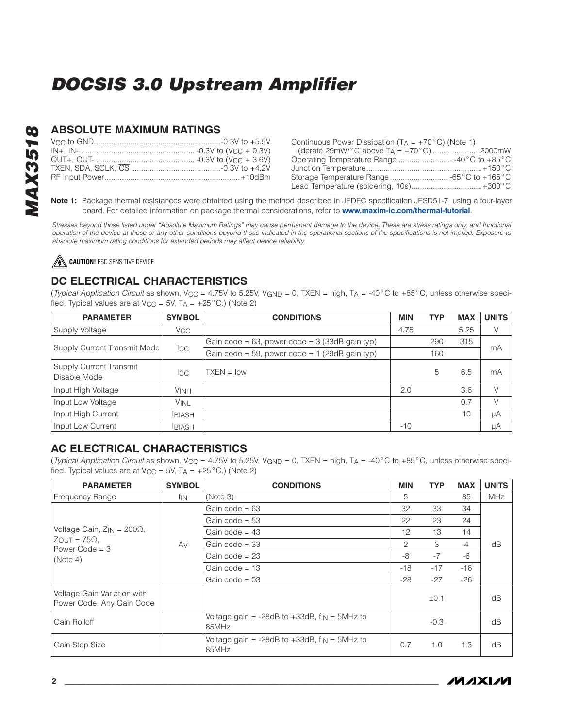#### **ABSOLUTE MAXIMUM RATINGS**

|  | Continuous Power Dissipation ( $TA = +70^{\circ}C$ ) (Note 1)<br>(derate 29mW/ $^{\circ}$ C above T <sub>A</sub> = +70 $^{\circ}$ C) 2000mW<br>Storage Temperature Range  -65°C to +165°C<br>Lead Temperature (soldering, 10s) +300°C |  |
|--|---------------------------------------------------------------------------------------------------------------------------------------------------------------------------------------------------------------------------------------|--|
|  |                                                                                                                                                                                                                                       |  |

Note 1: Package thermal resistances were obtained using the method described in JEDEC specification JESD51-7, using a four-layer board. For detailed information on package thermal considerations, refer to **[www.maxim-ic.com/thermal-tutorial](http://www.maxim-ic.com/thermal-tutorial)**.

*Stresses beyond those listed under "Absolute Maximum Ratings" may cause permanent damage to the device. These are stress ratings only, and functional operation of the device at these or any other conditions beyond those indicated in the operational sections of the specifications is not implied. Exposure to absolute maximum rating conditions for extended periods may affect device reliability.*

⚠ **CAUTION!** ESD SENSITIVE DEVICE

## **DC ELECTRICAL CHARACTERISTICS**

(*Typical Application Circuit* as shown, VCC = 4.75V to 5.25V, VGND = 0, TXEN = high, TA = -40°C to +85°C, unless otherwise specified. Typical values are at  $V_{CC} = 5V$ ,  $T_A = +25^{\circ}C$ .) (Note 2)

| <b>PARAMETER</b>                               | <b>SYMBOL</b>         | <b>CONDITIONS</b>                                | <b>MIN</b> | <b>TYP</b> | <b>MAX</b> | <b>UNITS</b> |
|------------------------------------------------|-----------------------|--------------------------------------------------|------------|------------|------------|--------------|
| Supply Voltage                                 | <b>V<sub>CC</sub></b> |                                                  | 4.75       |            | 5.25       | V            |
|                                                |                       | Gain code = 63, power code = $3$ (33dB gain typ) |            | 290        | 315        |              |
| Supply Current Transmit Mode                   | Icc                   | Gain code = 59, power code = $1$ (29dB gain typ) |            | 160        |            | mA           |
| <b>Supply Current Transmit</b><br>Disable Mode | <b>ICC</b>            | $TXEN = low$                                     |            | 5          | 6.5        | mA           |
| Input High Voltage                             | <b>VINH</b>           |                                                  | 2.0        |            | 3.6        | V            |
| Input Low Voltage                              | <b>VINL</b>           |                                                  |            |            | 0.7        | V            |
| Input High Current                             | <b>BIASH</b>          |                                                  |            |            | 10         | μA           |
| Input Low Current                              | <b>BIASH</b>          |                                                  | $-10$      |            |            | μA           |

## **AC ELECTRICAL CHARACTERISTICS**

(*Typical Application Circuit* as shown, VCC = 4.75V to 5.25V, VGND = 0, TXEN = high, TA = -40°C to +85°C, unless otherwise specified. Typical values are at V<sub>CC</sub> = 5V, T<sub>A</sub> =  $+25^{\circ}$ C.) (Note 2)

| <b>PARAMETER</b>                                         | <b>SYMBOL</b> | <b>CONDITIONS</b>                                               | MIN   | <b>TYP</b> | <b>MAX</b> | <b>UNITS</b> |  |  |  |
|----------------------------------------------------------|---------------|-----------------------------------------------------------------|-------|------------|------------|--------------|--|--|--|
| Frequency Range                                          | fin           | (Note 3)                                                        | 5     |            | 85         | <b>MHz</b>   |  |  |  |
|                                                          |               | Gain code = $63$                                                | 32    | 33         | 34         |              |  |  |  |
|                                                          |               | Gain code = $53$                                                | 22    | 23         | 24         |              |  |  |  |
| Voltage Gain, $Z_{IN} = 200\Omega$ ,                     |               | Gain code = $43$                                                | 12    | 13         | 14         |              |  |  |  |
| $Z$ OUT = 75 $\Omega$ .<br>Power Code = $3$              | Av            | Gain code $=$ 33                                                | 2     | 3          | 4          | dB           |  |  |  |
| (Note 4)                                                 |               | Gain code $= 23$                                                |       | $-7$       | $-6$       |              |  |  |  |
|                                                          |               | Gain code = $13$<br>$-18$                                       |       | $-17$      | $-16$      |              |  |  |  |
|                                                          |               | Gain code = $03$                                                | $-28$ | $-27$      | -26        |              |  |  |  |
| Voltage Gain Variation with<br>Power Code, Any Gain Code |               |                                                                 |       | ±0.1       |            | dB           |  |  |  |
| Gain Rolloff                                             |               | Voltage gain = -28dB to $+33$ dB, $f_{IN}$ = 5MHz to<br>85MHz   |       | $-0.3$     |            | dB           |  |  |  |
| Gain Step Size                                           |               | Voltage gain = $-28dB$ to $+33dB$ , $f_{IN} = 5MHz$ to<br>85MHz | 0.7   | 1.0        | 1.3        | dB           |  |  |  |

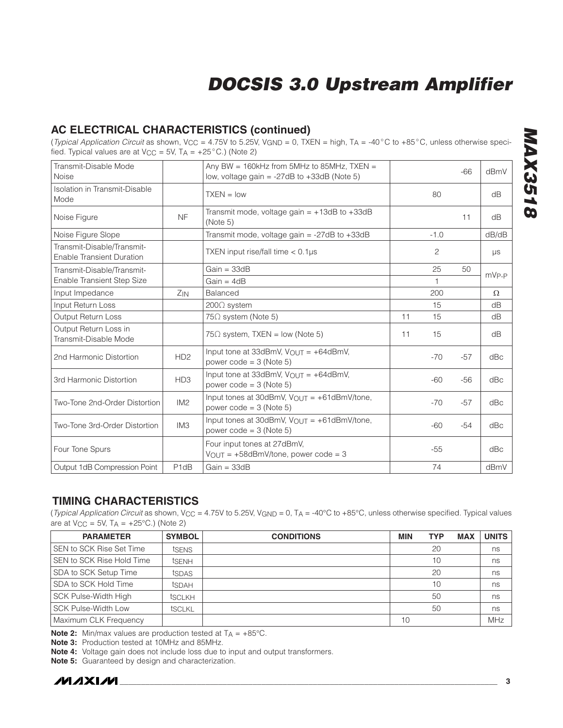## **AC ELECTRICAL CHARACTERISTICS (continued)**

(*Typical Application Circuit* as shown, VCC = 4.75V to 5.25V, VGND = 0, TXEN = high, TA = -40°C to +85°C, unless otherwise specified. Typical values are at  $V_{CC} = 5V$ ,  $T_A = +25^{\circ}C$ .) (Note 2)

| Transmit-Disable Mode<br>Noise                                 |                  | Any BW = $160kHz$ from 5MHz to 85MHz, TXEN =<br>low, voltage gain = $-27$ dB to $+33$ dB (Note 5) |    |              | $-66$ | dBmV     |
|----------------------------------------------------------------|------------------|---------------------------------------------------------------------------------------------------|----|--------------|-------|----------|
| Isolation in Transmit-Disable<br>Mode                          |                  | $TXEN = low$                                                                                      |    | 80           |       | dB       |
| Noise Figure                                                   | <b>NF</b>        | Transmit mode, voltage gain = $+13dB$ to $+33dB$<br>(Note 5)                                      |    |              | 11    | dB       |
| Noise Figure Slope                                             |                  | Transmit mode, voltage gain = $-27dB$ to $+33dB$                                                  |    | $-1.0$       |       | dB/dB    |
| Transmit-Disable/Transmit-<br><b>Enable Transient Duration</b> |                  | TXEN input rise/fall time $< 0.1 \mu s$                                                           |    | 2            |       | μs       |
| Transmit-Disable/Transmit-                                     |                  | $Gain = 33dB$                                                                                     |    | 25           | 50    | $mVP-P$  |
| Enable Transient Step Size                                     |                  | $Gain = 4dB$                                                                                      |    | $\mathbf{1}$ |       |          |
| Input Impedance                                                | $Z_{IN}$         | Balanced                                                                                          |    | 200          |       | $\Omega$ |
| Input Return Loss                                              |                  | 200Ω system                                                                                       |    | 15           |       | dB       |
| <b>Output Return Loss</b>                                      |                  | $75\Omega$ system (Note 5)                                                                        | 11 | 15           |       | dB       |
| Output Return Loss in<br>Transmit-Disable Mode                 |                  | $75\Omega$ system, TXEN = low (Note 5)                                                            | 11 | 15           |       | dB       |
| 2nd Harmonic Distortion                                        | HD2              | Input tone at 33dBmV, $V_{\Omega U}T = +64d$ BmV,<br>power $code = 3$ (Note 5)                    |    | $-70$        | $-57$ | dBc      |
| 3rd Harmonic Distortion                                        | HD <sub>3</sub>  | Input tone at 33dBmV, $V_{OUT} = +64$ dBmV,<br>power $code = 3$ (Note 5)                          |    | $-60$        | $-56$ | dBc      |
| Two-Tone 2nd-Order Distortion                                  | IM2              | Input tones at 30dBmV, $V_{\text{OUT}} = +61$ dBmV/tone,<br>power $code = 3$ (Note 5)             |    | $-70$        | $-57$ | dBc      |
| Two-Tone 3rd-Order Distortion                                  | IM <sub>3</sub>  | Input tones at 30dBmV, $V_{\text{OUT}} = +61$ dBmV/tone,<br>power $code = 3$ (Note 5)             |    | $-60$        | $-54$ | dBc      |
| Four Tone Spurs                                                |                  | Four input tones at 27dBmV,<br>$VOUT = +58dBmV/tone$ , power code = 3                             |    | $-55$        |       | dBc      |
| Output 1dB Compression Point                                   | P <sub>1dB</sub> | $Gain = 33dB$                                                                                     |    | 74           |       | dBmV     |

### **TIMING CHARACTERISTICS**

(*Typical Application Circuit* as shown, VCC = 4.75V to 5.25V, VGND = 0, TA = -40°C to +85°C, unless otherwise specified. Typical values are at  $V_{CC} = 5V$ ,  $TA = +25°C$ .) (Note 2)

| <b>PARAMETER</b>           | <b>SYMBOL</b> | <b>CONDITIONS</b> | <b>MIN</b> | <b>TYP</b> | <b>MAX</b> | <b>UNITS</b> |
|----------------------------|---------------|-------------------|------------|------------|------------|--------------|
| SEN to SCK Rise Set Time   | tsens         |                   |            | 20         |            | ns           |
| SEN to SCK Rise Hold Time  | tSENH         |                   |            | 10         |            | ns           |
| SDA to SCK Setup Time      | tsdas         |                   |            | 20         |            | ns           |
| SDA to SCK Hold Time       | tSDAH         |                   |            | 10         |            | ns           |
| SCK Pulse-Width High       | tsclkh        |                   |            | 50         |            | ns           |
| <b>SCK Pulse-Width Low</b> | tSCLKL        |                   |            | 50         |            | ns           |
| Maximum CLK Frequency      |               |                   | 10         |            |            | MHz          |

**Note 2:** Min/max values are production tested at  $T_A = +85^{\circ}$ C.

**Note 3:** Production tested at 10MHz and 85MHz.

**Note 4:** Voltage gain does not include loss due to input and output transformers.

**Note 5:** Guaranteed by design and characterization.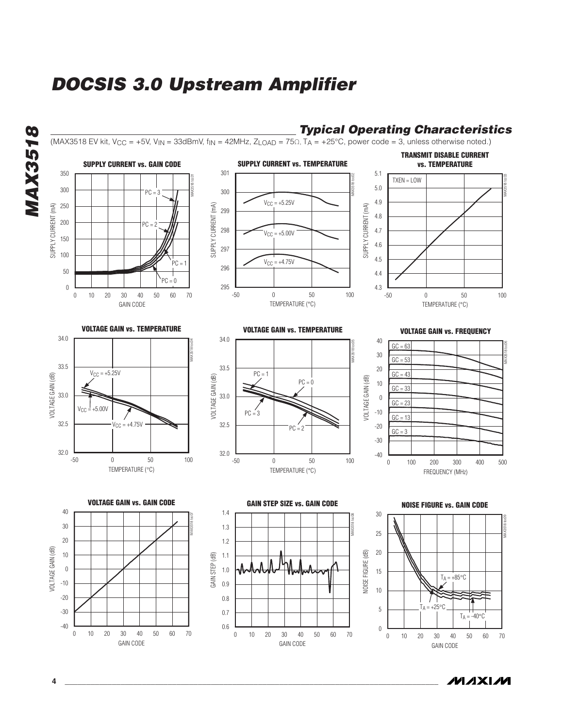



**4 \_\_\_\_\_\_\_\_\_\_\_\_\_\_\_\_\_\_\_\_\_\_\_\_\_\_\_\_\_\_\_\_\_\_\_\_\_\_\_\_\_\_\_\_\_\_\_\_\_\_\_\_\_\_\_\_\_\_\_\_\_\_\_\_\_\_\_\_\_\_\_\_\_\_\_\_\_\_\_\_\_\_\_\_\_\_\_**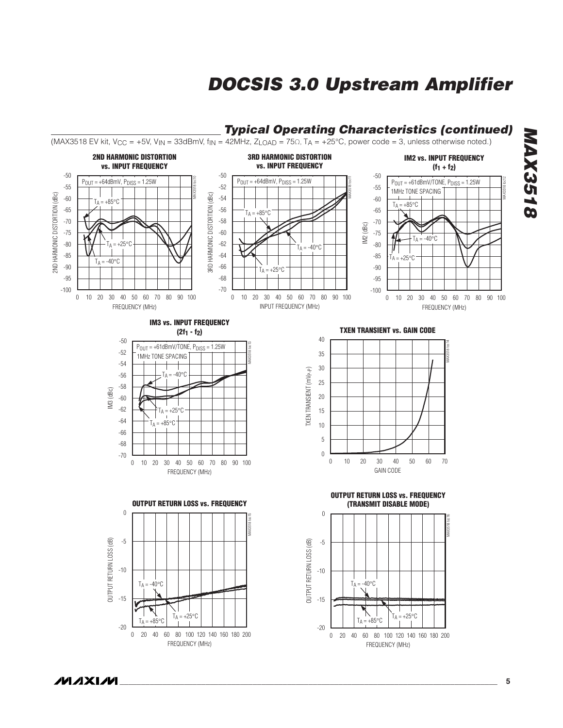

# *MAX3518* **MAX3518**

**MAXIM**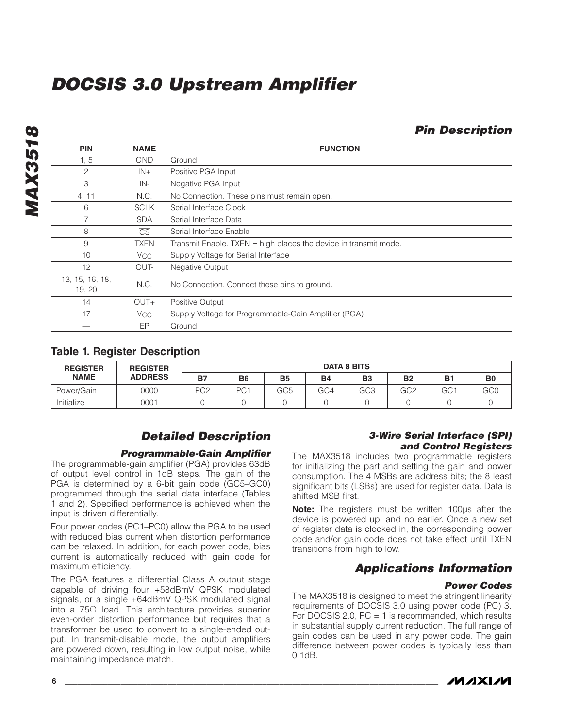| <b>PIN</b>                | <b>NAME</b>            | <b>FUNCTION</b>                                                    |
|---------------------------|------------------------|--------------------------------------------------------------------|
| 1, 5                      | <b>GND</b>             | Ground                                                             |
| 2                         | $IN+$                  | Positive PGA Input                                                 |
| 3                         | IN-                    | Negative PGA Input                                                 |
| 4, 11                     | N.C.                   | No Connection. These pins must remain open.                        |
| 6                         | <b>SCLK</b>            | Serial Interface Clock                                             |
| 7                         | <b>SDA</b>             | Serial Interface Data                                              |
| 8                         | $\overline{\text{CS}}$ | Serial Interface Enable                                            |
| 9                         | <b>TXEN</b>            | Transmit Enable. TXEN $=$ high places the device in transmit mode. |
| 10                        | V <sub>CC</sub>        | Supply Voltage for Serial Interface                                |
| 12                        | OUT-                   | Negative Output                                                    |
| 13, 15, 16, 18,<br>19, 20 | N.C.                   | No Connection. Connect these pins to ground.                       |
| 14                        | OUT+                   | Positive Output                                                    |
| 17                        | <b>V<sub>CC</sub></b>  | Supply Voltage for Programmable-Gain Amplifier (PGA)               |
|                           | EP                     | Ground                                                             |

### **Table 1. Register Description**

| <b>REGISTER</b> | <b>REGISTER</b> | <b>DATA 8 BITS</b> |                 |           |           |                 |                 |                 |                |
|-----------------|-----------------|--------------------|-----------------|-----------|-----------|-----------------|-----------------|-----------------|----------------|
| <b>NAME</b>     | <b>ADDRESS</b>  | <b>B7</b>          | <b>B6</b>       | <b>B5</b> | <b>B4</b> | B <sub>3</sub>  | <b>B2</b>       | <b>B1</b>       | B <sub>0</sub> |
| Power/Gain      | 0000            | PC <sub>2</sub>    | PC <sup>-</sup> | GC5       | GC4       | GC <sub>3</sub> | GC <sub>2</sub> | GC <sub>1</sub> | GC0            |
| Initialize      | 0001            |                    |                 |           |           |                 |                 |                 |                |

## *Detailed Description*

#### *Programmable-Gain Amplifier*

The programmable-gain amplifier (PGA) provides 63dB of output level control in 1dB steps. The gain of the PGA is determined by a 6-bit gain code (GC5–GC0) programmed through the serial data interface (Tables 1 and 2). Specified performance is achieved when the input is driven differentially.

Four power codes (PC1–PC0) allow the PGA to be used with reduced bias current when distortion performance can be relaxed. In addition, for each power code, bias current is automatically reduced with gain code for maximum efficiency.

The PGA features a differential Class A output stage capable of driving four +58dBmV QPSK modulated signals, or a single +64dBmV QPSK modulated signal into a 75Ω load. This architecture provides superior even-order distortion performance but requires that a transformer be used to convert to a single-ended output. In transmit-disable mode, the output amplifiers are powered down, resulting in low output noise, while maintaining impedance match.

#### *3-Wire Serial Interface (SPI) and Control Registers*

 *Pin Description*

The MAX3518 includes two programmable registers for initializing the part and setting the gain and power consumption. The 4 MSBs are address bits; the 8 least significant bits (LSBs) are used for register data. Data is shifted MSB first.

**Note:** The registers must be written 100µs after the device is powered up, and no earlier. Once a new set of register data is clocked in, the corresponding power code and/or gain code does not take effect until TXEN transitions from high to low.

## *Applications Information*

#### *Power Codes*

The MAX3518 is designed to meet the stringent linearity requirements of DOCSIS 3.0 using power code (PC) 3. For DOCSIS 2.0,  $PC = 1$  is recommended, which results in substantial supply current reduction. The full range of gain codes can be used in any power code. The gain difference between power codes is typically less than 0.1dB.

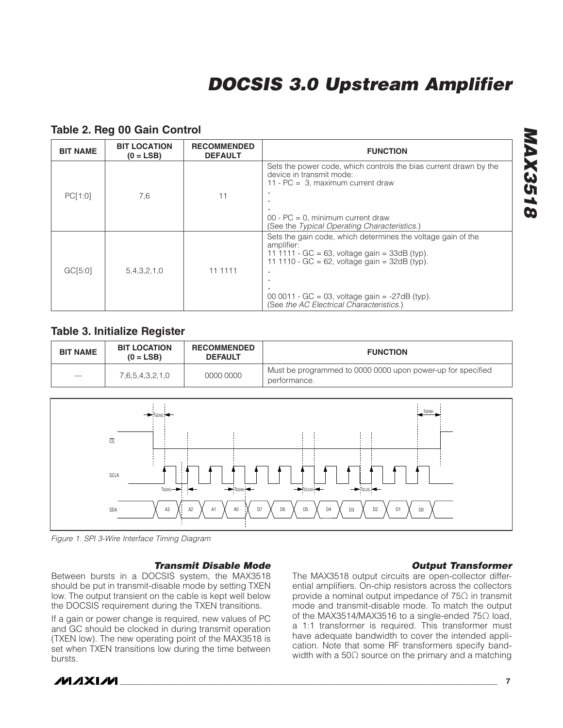| <b>BIT NAME</b> | <b>BIT LOCATION</b><br>$(0 = LSB)$ | <b>RECOMMENDED</b><br><b>DEFAULT</b> | <b>FUNCTION</b>                                                                                                                                                                  |
|-----------------|------------------------------------|--------------------------------------|----------------------------------------------------------------------------------------------------------------------------------------------------------------------------------|
|                 |                                    |                                      | Sets the power code, which controls the bias current drawn by the<br>device in transmit mode:<br>11 - $PC = 3$ , maximum current draw                                            |
| PC[1:0]         | 7,6                                | 11                                   | ٠<br>٠.                                                                                                                                                                          |
|                 |                                    |                                      | $00 - PC = 0$ , minimum current draw<br>(See the Typical Operating Characteristics.)                                                                                             |
|                 |                                    |                                      | Sets the gain code, which determines the voltage gain of the<br>amplifier:<br>11 1111 - GC = 63, voltage gain = $33dB$ (typ).<br>11 1110 - GC = 62, voltage gain = $32dB$ (typ). |
| GCI5:01         | 5,4,3,2,1,0                        | 11 11 11                             | ٠.                                                                                                                                                                               |
|                 |                                    |                                      | 00 0011 - GC = 03, voltage gain = $-27dB$ (typ).<br>(See the AC Electrical Characteristics.)                                                                                     |

#### **Table 2. Reg 00 Gain Control**

#### **Table 3. Initialize Register**

| <b>BIT NAME</b> | <b>BIT LOCATION</b><br>$(0 = LSB)$ | <b>RECOMMENDED</b><br><b>DEFAULT</b> | <b>FUNCTION</b>                                                             |
|-----------------|------------------------------------|--------------------------------------|-----------------------------------------------------------------------------|
|                 | 7,6,5,4,3,2,1,0                    | 0000 0000                            | Must be programmed to 0000 0000 upon power-up for specified<br>performance. |



*Figure 1. SPI 3-Wire Interface Timing Diagram*

#### *Transmit Disable Mode*

Between bursts in a DOCSIS system, the MAX3518 should be put in transmit-disable mode by setting TXEN low. The output transient on the cable is kept well below the DOCSIS requirement during the TXEN transitions.

If a gain or power change is required, new values of PC and GC should be clocked in during transmit operation (TXEN low). The new operating point of the MAX3518 is set when TXEN transitions low during the time between bursts.

#### *Output Transformer*

The MAX3518 output circuits are open-collector differential amplifiers. On-chip resistors across the collectors provide a nominal output impedance of 75Ω in transmit mode and transmit-disable mode. To match the output of the MAX3514/MAX3516 to a single-ended 75Ω load, a 1:1 transformer is required. This transformer must have adequate bandwidth to cover the intended application. Note that some RF transformers specify bandwidth with a 50Ω source on the primary and a matching

# *MAX3518* **MAX3518**

**MAXM**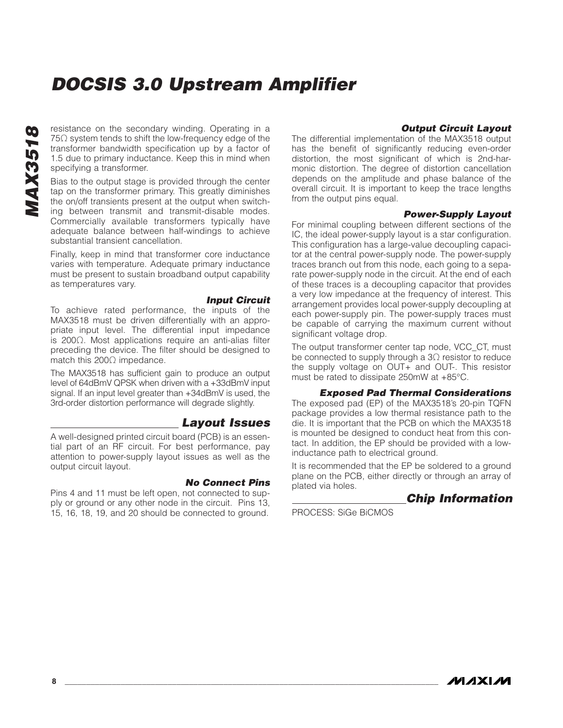resistance on the secondary winding. Operating in a 75○ system tends to shift the low-frequency edge of the transformer bandwidth specification up by a factor of 1.5 due to primary inductance. Keep this in mind when specifying a transformer.

Bias to the output stage is provided through the center tap on the transformer primary. This greatly diminishes the on/off transients present at the output when switching between transmit and transmit-disable modes. Commercially available transformers typically have adequate balance between half-windings to achieve substantial transient cancellation.

Finally, keep in mind that transformer core inductance varies with temperature. Adequate primary inductance must be present to sustain broadband output capability as temperatures vary.

#### *Input Circuit*

To achieve rated performance, the inputs of the MAX3518 must be driven differentially with an appropriate input level. The differential input impedance is 200Ω. Most applications require an anti-alias filter preceding the device. The filter should be designed to match this 200Ω impedance.

The MAX3518 has sufficient gain to produce an output level of 64dBmV QPSK when driven with a +33dBmV input signal. If an input level greater than +34dBmV is used, the 3rd-order distortion performance will degrade slightly.

#### *Layout Issues*

A well-designed printed circuit board (PCB) is an essential part of an RF circuit. For best performance, pay attention to power-supply layout issues as well as the output circuit layout.

#### *No Connect Pins*

Pins 4 and 11 must be left open, not connected to supply or ground or any other node in the circuit. Pins 13, 15, 16, 18, 19, and 20 should be connected to ground.

#### *Output Circuit Layout*

The differential implementation of the MAX3518 output has the benefit of significantly reducing even-order distortion, the most significant of which is 2nd-harmonic distortion. The degree of distortion cancellation depends on the amplitude and phase balance of the overall circuit. It is important to keep the trace lengths from the output pins equal.

#### *Power-Supply Layout*

For minimal coupling between different sections of the IC, the ideal power-supply layout is a star configuration. This configuration has a large-value decoupling capacitor at the central power-supply node. The power-supply traces branch out from this node, each going to a separate power-supply node in the circuit. At the end of each of these traces is a decoupling capacitor that provides a very low impedance at the frequency of interest. This arrangement provides local power-supply decoupling at each power-supply pin. The power-supply traces must be capable of carrying the maximum current without significant voltage drop.

The output transformer center tap node, VCC\_CT, must be connected to supply through a  $3\Omega$  resistor to reduce the supply voltage on OUT+ and OUT-. This resistor must be rated to dissipate 250mW at +85°C.

#### *Exposed Pad Thermal Considerations*

The exposed pad (EP) of the MAX3518's 20-pin TQFN package provides a low thermal resistance path to the die. It is important that the PCB on which the MAX3518 is mounted be designed to conduct heat from this contact. In addition, the EP should be provided with a lowinductance path to electrical ground.

It is recommended that the EP be soldered to a ground plane on the PCB, either directly or through an array of plated via holes.

### *Chip Information*

PROCESS: SiGe BiCMOS